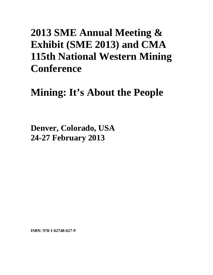## **2013 SME Annual Meeting & Exhibit (SME 2013) and CMA 115th National Western Mining Conference**

## **Mining: It's About the People**

**Denver, Colorado, USA 24-27 February 2013**

**ISBN: 978-1-62748-627-9**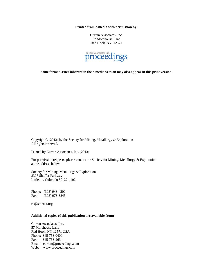**Printed from e-media with permission by:** 

Curran Associates, Inc. 57 Morehouse Lane Red Hook, NY 12571



**Some format issues inherent in the e-media version may also appear in this print version.** 

Copyright© (2013) by the Society for Mining, Metallurgy & Exploration All rights reserved.

Printed by Curran Associates, Inc. (2013)

For permission requests, please contact the Society for Mining, Metallurgy & Exploration at the address below.

Society for Mining, Metallurgy & Exploration 8307 Shaffer Parkway Littleton, Colorado 80127-4102

Phone: (303) 948-4200 Fax: (303) 973-3845

cs@smenet.org

## **Additional copies of this publication are available from:**

Curran Associates, Inc. 57 Morehouse Lane Red Hook, NY 12571 USA Phone: 845-758-0400 Fax: 845-758-2634 Email: curran@proceedings.com Web: www.proceedings.com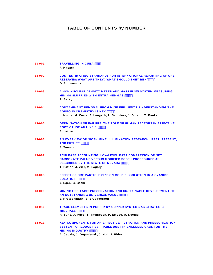## TABLE OF CONTENTS by NUMBER

| 13-001 | <b>TRAVELLING IN CUBA """%</b><br>F. Habashi                                                                                                                                                                                |
|--------|-----------------------------------------------------------------------------------------------------------------------------------------------------------------------------------------------------------------------------|
| 13-002 | <b>COST ESTIMATING STANDARDS FOR INTERNATIONAL REPORTING OF ORE</b><br>RESERVES: WHAT ARE THEY? WHAT SHOULD THEY BE? """%<br>O. Schumacher                                                                                  |
| 13-003 | A NON-NUCLEAR DENSITY METER AND MASS FLOW SYSTEM MEASURING<br><b>MINING SLURRIES WITH ENTRAINED GAS """&amp;&amp;</b><br>R. Batey                                                                                           |
| 13-004 | <b>CONTAMINANT REMOVAL FROM MINE EFFLUENTS: UNDERSTANDING THE</b><br><b>AQUEOUS CHEMISTRY IS KEY """&amp;-</b><br>L. Moore, M. Costa, J. Langsch, L. Saunders, J. Durand, T. Banks                                          |
| 13-005 | <b>GERMINATION OF FAILURE: THE ROLE OF HUMAN FACTORS IN EFFECTIVE</b><br><b>ROOT CAUSE ANALYSIS """ (</b><br>R. Latino                                                                                                      |
| 13-006 | AN OVERVIEW OF NIOSH MINE ILLUMINATION RESEARCH: PAST, PRESENT,<br><b>AND FUTURE """" +</b><br>J. Sammarco                                                                                                                  |
| 13-007 | <b>ACID BASE ACCOUNTING: LOW-LEVEL DATA COMPARISON OF NET</b><br><b>CARBONATE VALUE VERSUS MODIFIED SOBEK PROCEDURES AS</b><br><b>DESCRIBED BY THE STATE OF NEVADA """( (</b><br>T. Patten, J. Zier, M. Lagory              |
| 13-008 | <b>EFFECT OF ORE PARTICLE SIZE ON GOLD DISSOLUTION IN A CYANIDE</b><br><b>SOLUTION """'(+</b><br>J. Egan, C. Bazin                                                                                                          |
| 13-009 | <b>MINING HERITAGE: PRESERVATION AND SUSTAINABLE DEVELOPMENT OF</b><br>AN OUTSTANDING UNIVERSAL VALUE """) (<br>J. Kretschmann, S. Brueggerhoff                                                                             |
| 13-010 | <b>TRACE ELEMENTS IN PORPHYRY COPPER SYSTEMS AS STRATEGIC</b><br>MINERALS """).<br>R. Yano, J. Price, T. Thompson, P. Emsbo, A. Koenig                                                                                      |
| 13-011 | <b>KEY COMPONENTS FOR AN EFFECTIVE FILTRATION AND PRESSURIZATION</b><br><b>SYSTEM TO REDUCE RESPIRABLE DUST IN ENCLOSED CABS FOR THE</b><br><b>MINING INDUSTRY """+&amp;</b><br>A. Cecala, J. Organiscak, J. Noll, J. Rider |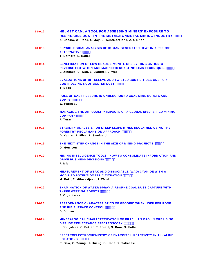| 13-012 | <b>HELMET CAM: A TOOL FOR ASSESSING MINERS' EXPOSURE TO</b><br><b>RESPIRABLE DUST IN THE METAL/NONMETAL MINING INDUSTRY """+-</b><br>A. Cecala, W. Reed, G. Joy, S. Westmoreland, A. O'Brien |
|--------|----------------------------------------------------------------------------------------------------------------------------------------------------------------------------------------------|
| 13-013 | <b>PHYSIOLOGICAL ANALYSIS OF HUMAN GENERATED HEAT IN A REFUGE</b><br><b>ALTERNATIVE """; )</b><br>T. Bernard, E. Bauer                                                                       |
| 13-014 | <b>BENEFICIATION OF LOW-GRADE LIMONITE ORE BY HIMS-CATIONIC</b><br><b>REVERSE FLOTATION AND MAGNETIC ROASTING-LIMS TECHNIQUES """-"</b><br>L. Xinghua, C. Wen, L. Liangfei, L. Wei           |
| 13-015 | <b>EVALUATIONS OF BIT SLEEVE AND TWISTED-BODY BIT DESIGNS FOR</b><br><b>CONTROLLING ROOF BOLTER DUST """- -</b><br>T. Beck                                                                   |
| 13-016 | <b>ROLE OF GAS PRESSURE IN UNDERGROUND COAL MINE BURSTS AND</b><br><b>BUMPS """%"</b><br>W. Pariseau                                                                                         |
| 13-017 | <b>MANAGING THE AIR QUALITY IMPACTS OF A GLOBAL DIVERSIFIED MINING</b><br><b>COMPANY """%%</b><br>F. Turatti                                                                                 |
| 13-018 | <b>STABILITY ANALYSIS FOR STEEP-SLOPE MINES RECLAIMED USING THE</b><br><b>FORESTRY RECLAMANTION APPROACH """%%</b><br>D. Kumar, J. Silva. R. Sweigard                                        |
| 13-019 | <b>THE NEXT STEP CHANGE IN THE SIZE OF MINING PROJECTS """%&amp;\$</b><br>D. Morrison                                                                                                        |
| 13-020 | <b>MINING INTELLIGENCE TOOLS - HOW TO CONSOLIDATE INFORMATION AND</b><br><b>DRIVE BUSINESS DECISIONS """%"</b><br>F. Mielli                                                                  |
| 13-021 | <b>MEASUREMENT OF WEAK AND DISSOCIABLE (WAD) CYANIDE WITH A</b><br><b>MODIFIED POTENTIOMETRIC TITRATION """%.</b><br>M. Botz, E. Milosavljevic, I. Ward                                      |
| 13-022 | <b>EXAMINATION OF WATER SPRAY AIRBORNE COAL DUST CAPTURE WITH</b><br><b>THREE WETTING AGENTS ""% (</b><br>J. Organiscak                                                                      |
| 13-023 | <b>PERFORMANCE CHARACTERISTICS OF GEOGRID WHEN USED FOR ROOF</b><br><b>AND RIB SURFACE CONTROL """%(\$</b><br>D. Dolinar                                                                     |
| 13-024 | <b>MINERALOGICAL CHARACTERIZATION OF BRAZILIAN KAOLIN ORE USING</b><br>DIFFUSE REFLECTANCE SPECTROSCOPY """%(+<br>Í. Gonçalves, C. Petter, R. Pruett, N. Dani, G. Kolbe                      |
| 13-025 | <b>SPECTROELECTROCHEMISTRY OF ENARGITE I: REACTIVITY IN ALKALINE</b><br><b>SOLUTIONS """%"</b><br>R. Gow, C. Young, H. Huang, G. Hope, Y. Takasaki                                           |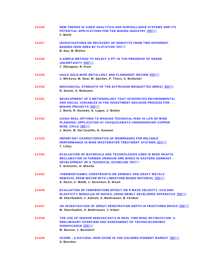| 13-026 | <b>NEW TRENDS IN VIDEO ANALYTICS AND SURVEILLANCE SYSTEMS AND ITS</b><br><b>POTENTIAL APPLICATIONS FOR THE MINING INDUSTRY """% %</b><br>F. Mielli                                                                          |
|--------|-----------------------------------------------------------------------------------------------------------------------------------------------------------------------------------------------------------------------------|
| 13-027 | <b>INVESTIGATIONS ON RECOVERY OF HEMATITE FROM TWO DIFFERENT</b><br><b>BANDED IRON ORES BY FLOTATION """% (</b><br>B. Das, B. Mishra                                                                                        |
| 13-028 | A SIMPLE METHOD TO SELECT A PIT IN THE PRESENCE OF GRADE<br><b>UNCERTAINTY """% -</b><br>T. Elkington, R. Prott                                                                                                             |
| 13-029 | <b>HAILE GOLD MINE METALLRGY AND FLOWSHEET REVIEW """%&amp;</b><br>J. Wickens, M. Deal, M. Spicher, P. Tittes, S. McDaniel                                                                                                  |
| 13-030 | <b>MECHANICAL STRENGTH OF THE EXTRUSION BRIQUETTES (BREX) """%+-</b><br>R. Steele, A. Bizhanov                                                                                                                              |
| 13-031 | DEVELOPMENT OF A METHODOLOGY THAT INTEGRATES ENVIRONMENTAL<br>AND SOCIAL VARIABLES IN THE INVESTMENT DECISION PROCESS FOR<br><b>MINING PROJECTS ""% &amp;</b><br>J. Botín, R. Guzmán, G. Lagos, J. Muñoz                    |
| 13-032 | USING REAL OPTIONS TO MANAGE TECHNICAL RISK IN LIFE OF MINE<br><b>PLANNING: APPLICATION AT CHUQUICAMATA UNDERGROUND COPPER</b><br><b>MINE. CHILE """% -</b><br>J. Botín, M. Del Castillo, R. Guzmán                         |
| 13-033 | <b>IMPORTANT CHARACTERISTICS OF MEMBRANES FOR RELIABLE</b><br><b>PERFORMANCE IN MINE WASTEWATER TREATMENT SYSTEMS """%)</b><br>T. Lilley                                                                                    |
| 13-034 | <b>EVALUATION OF MATERIALS AND TECHNOLOGIES USED IN MINE SHAFTS</b><br><b>RECLAMATION IN FORMER URANIUM ORE MINES IN EASTERN GERMANY -</b><br><b>DEVELOPMENT OF A TECHNICAL GUIDELINE """% -</b><br>F. Schreiter, H. Mischo |
| 13-035 | <b>THERMODYNAMIC CONSTRAINTS ON ARSENIC AND HEAVY METALS</b><br>REMOVAL FROM WATER WITH LIMESTONE-BASED MATERIAL """&\$&<br>A. Davis, C. Webb, J. Sorensen, D. Dixon                                                        |
| 13-036 | <b>EVALUATION OF TEMPERATURE EFFECT ON P-WAVE VELOCITY, UCS AND</b><br><b>ELASTICITY MODULUD OF ROCKS, USING NEWLY DEVELOPED APPARATUS """&amp;\$*</b><br>M. Sharifzadeh, J. Ashrafi, A. Modiriasari, B. Ferdosi            |
| 13-037 | <b>AN INVESTIGATION OF GROUT PENETRATION DEPTH IN FRACTURED ROCKS """&amp; ???</b><br>M. Sharifzadeh, A. Modiriasari, J. Khani                                                                                              |
| 13-038 | THE USE OF SENSOR DERIVED DATA IN REAL TIME MINE OPTIMIZATION: A<br><b>PRELIMINARY OVERVIEW AND ASSESSMENT OF TECHNO-ECONOMIC</b><br><b>SIGNIFICANCE """8%</b><br>M. Buxton, J. Benndorf                                    |
| 13-039 | <b>OCHRE - A NATURAL IRON OXIDE IN THE COLORED PIGMENT MARKET """&amp;&amp;\$</b><br>S. Bearden                                                                                                                             |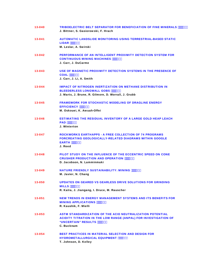| 13-040 | <b>TRIBOELECTRIC BELT SEPARATOR FOR BENEFICIATION OF FINE MINERALS """&amp;&amp;(</b><br>J. Bittner, S. Gasiorowski, F. Hrach                                                        |
|--------|--------------------------------------------------------------------------------------------------------------------------------------------------------------------------------------|
| 13-041 | <b>AUTOMATIC LANDSLIDE MONITORING USING TERRESTRIAL-BASED STATIC</b><br><b>LIDAR</b> """&&.                                                                                          |
|        | M. Leslar, A. Swirski                                                                                                                                                                |
| 13-042 | <b>PERFORMANCE OF AN INTELLIGENT PROXIMITY DETECTION SYSTEM FOR</b><br><b>CONTINUOUS MINING MACHINES """&amp;' &amp;</b><br>J. Carr, J. DuCarme                                      |
| 13-043 | USE OF MAGNETIC PROXIMITY DETECTION SYSTEMS IN THE PRESENCE OF<br>COAL """&"<br>J. Carr, J. Li, A. Smith                                                                             |
| 13-044 | <b>IMPACT OF NITROGEN INERTIZATION ON METHANE DISTRIBUTION IN</b><br><b>BLEEDERLESS LONGWALL GOBS """&amp;( &amp;</b><br>J. Marts, J. Brune, R. Gilmore, D. Worrall, J. Grubb        |
| 13-045 | <b>FRAMEWORK FOR STOCHASTIC MODELING OF DRAGLINE ENERGY</b><br><b>EFFICIENCY """&amp;(.</b><br>M. Oskouei, K. Awuah-Offei                                                            |
| 13-046 | <b>ESTIMATING THE RESIDUAL INVENTORY OF A LARGE GOLD HEAP LEACH</b><br><b>PAD """&amp;) &amp;</b><br>J. Winterton                                                                    |
| 13-047 | <b>ROCKWORKS EARTHAPPS - A FREE COLLECTION OF 74 PROGRAMS</b><br><b>FORCREATING GEOLOGICALLY-RELATED DIAGRAMS WITHIN GOOGLE</b><br>$EARTH$ """&) *<br>J. Reed                        |
| 13-048 | PILOT STUDY ON THE INFLUENCE OF THE ECCENTRIC SPEED ON CONE<br><b>CRUSHER PRODUCTION AND OPERATION """ "&amp;*,</b><br>D. Jacobson, N. Lamminmaki                                    |
| 13-049 | <b>NATURE FRIENDLY SUSTAINABILITY: MINING """8+&amp;</b><br>M. Javier, N. Chang                                                                                                      |
| 13-050 | UPDATES ON GEARED VS GEARLESS DRIVE SOLUTIONS FOR GRINDING<br><b>MILLS """&amp;+,</b><br>R. Kalra, J. Jiangang, I. Druce, M. Rauscher                                                |
| 13-051 | <b>NEW TRENDS IN ENERGY MANAGEMENT SYSTEMS AND ITS BENEFITS FOR</b><br><b>MINING APPLICATIONS """&amp;, )</b><br>R. Kaushik, F. Mielli                                               |
| 13-053 | <b>ASTM STANDARDIZATION OF THE ACID NEUTRALIZATION POTENTIAL</b><br><b>ACIDITY TITRATION IN THE LOW RANGE (ANPAL) FOR INVESTIGATION OF</b><br>"UNCERTAIN" RESULTS """&<br>C. Bucknam |
| 13-054 | <b>BEST PRACTICES IN MATERIAL SELECTION AND DESIGN FOR</b><br><b>HYDROMETALLURGICAL EQUIPMENT """&amp;- %</b><br>T. Johnson, D. Kelley                                               |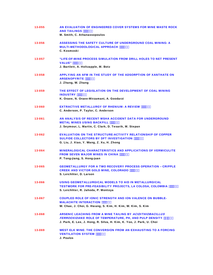| 13-055 | AN EVALUATION OF ENGINEERED COVER SYSTEMS FOR MINE WASTE ROCK<br><b>AND TAILINGS """ &amp;-*</b><br>M. Smith, C. Athanassopoulos                                                                                  |
|--------|-------------------------------------------------------------------------------------------------------------------------------------------------------------------------------------------------------------------|
| 13-056 | <b>ASSESSING THE SAFETY CULTURE OF UNDERGROUND COAL MINING: A</b><br><b>MULTI-METHODOLOGICAL APPROACH """ \$&amp;</b><br>C. Kosmoski                                                                              |
| 13-057 | "LIFE-OF-MINE PROCESS SIMULATION FROM DRILL HOLES TO NET PRESENT<br><b>VALUE" """ %</b><br>J. Bartlett, A. Holtzapple, M. Botz                                                                                    |
| 13-058 | APPLYING AN AFM IN THE STUDY OF THE ADSORPTION OF XANTHATE ON<br><b>ARSENOPYRITE """ %</b><br>J. Zhang, W. Zhang                                                                                                  |
| 13-059 | THE EFFECT OF LEGISLATION ON THE DEVELOPMENT OF COAL MINING<br><b>INDUSTRY</b> """ &%<br>K. Oraee, N. Oraee-Mirzamani, A. Goodarzi                                                                                |
| 13-060 | <b>EXTRACTIVE METALLURGY OF RHENIUM: A REVIEW """ &amp;*</b><br>C. Anderson, P. Taylor, C. Anderson                                                                                                               |
| 13-061 | AN ANALYSIS OF RECENT MSHA ACCIDENT DATA FOR UNDERGROUND<br><b>METAL MINES USING BACKFILL """" ')</b><br>J. Seymour, L. Martin, C. Clark, D. Tesarik, M. Stepan                                                   |
| 13-062 | <b>EVALUATION ON THE STRUCTURE-ACTIVITY RELATIONSHIP OF COPPER</b><br><b>SULFIDE COLLECTORS BY DFT INVESTIGATION """ ()</b><br>G. Liu, J. Xiao, Y. Wang, Z. Xu, H. Zhong                                          |
| 13-064 | <b>MINERALOGICAL CHARACTERISTICS AND APPLICATIONS OF VERMICULITE</b><br><b>FROM SEVEN MAJOR MINES IN CHINA """) &amp;</b><br>P. Tong-jiang, S. Hong-juan                                                          |
| 13-065 | <b>GEOMETALLURGY FOR A TWO RECOVERY PROCESS OPERATION - CRIPPLE</b><br>CREEK AND VICTOR GOLD MINE, COLORADO """ ) *<br>S. Leichliter, D. Larson                                                                   |
| 13-066 | <u>USING GEOMETALLURGICAL MODELS TO AID IN METALLURGICAL</u><br><b>TESTWORK FOR PRE-FEASIBILITY PROJECTS, LA COLOSA, COLOMBIA """ *\$</b><br>S. Leichliter, R. Jahoda, P. Montoya                                 |
| 13-067 | <b>COUPLED ROLE OF IONIC STRENGTH AND ION VALENCE ON BUBBLE-</b><br><b>MALACHITE INTERACTION """ * (</b><br>W. Chae, J. Choi, G. Hwang, S. Kim, H. Kim, W. Kim, S. Kim                                            |
| 13-068 | <b>ARSENIC LEACHING FROM A MINE TAILING BY ACIDITHIOBACILLUS</b><br><b>FERROOXIDANS: ROLE OF TEMPERATURE, PH, AND PULP DENSITY """ *+</b><br>J. Park, E. Lee, J. Hong, R. Silva, H. Kim, K. Yoo, J. Park, U. Choi |
| 13-069 | WEST ELK MINE: THE CONVERSION FROM AN EXHAUSTING TO A FORCING<br><b>VENTILATION SYSTEM """" +%</b><br>J. Poulos                                                                                                   |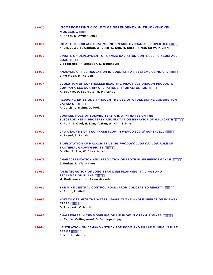| 13-070 | <b>INCORPORATING CYCLE TIME DEPENDENCY IN TRUCK-SHOVEL</b><br><b>MODELING</b> """ +*<br>A. Anani, K. Awuah-Offei                                                                           |
|--------|--------------------------------------------------------------------------------------------------------------------------------------------------------------------------------------------|
| 13-071 | <b>IMPACT OF SURFACE COAL MINING ON SOIL HYDRAULIC PROPERTIES """, %</b><br>X. Liu, J. Wu, P. Conrad, W. Elliot, S. Dun, H. Rhee, R. McNearny, P. Clark                                    |
| 13-072 | <b>UPDATE ON DEPLOYMENT OF GAMMA RADIATION CONTROLS FOR SURFACE</b><br><b>COAL</b> """", +<br>L. Frederick, P. Mongeon, D. Bogunovic                                                       |
| 13-073 | <b>ANALYSIS OF RECIRCULATION IN BOOSTER FAN SYSTEMS USING CFD """ -'</b><br>J. Wempen, M. Nelson                                                                                           |
| 13-074 | <b>EVOLUTION OF CONTROLLED BLASTING PRACTICES DRAGON PRODUCTS</b><br><b>COMPANY, LLC QUARRY OPERATIONS, THOMASTON, ME """ -,</b><br>K. Boakye, D. Scarpato, M. Martunas                    |
| 13-075 | <b>REDUCING EMISSIONS THROUGH THE USE OF A FUEL BORNE COMBUSTION</b><br><b>CATALYST """(\$'</b><br>R. Curtis, L. Irving, G. Prok                                                           |
| 13-076 | <b>COUPLED ROLE OF SULPHIDIZERS AND XANTHATES ON THE</b><br><b>ELECTROKINETIC PROPERTY AND FLOTATION BEHAVIOR OF MALACHITE """(\$+</b><br>K. Park, J. Choi, H. Kim, Y. Han, W. Kim, S. Kim |
| 13-077 | CFD ANALYSIS OF TWO-PHASE FLOW IN WEMCO-300 M <sup>3</sup> SUPERCELL """(%<br>H. Fayed, S. Ragab                                                                                           |
| 13-078 | <b>BIOFLOTATION OF MALACHITE USING RHODOCOCCUS OPACUS: ROLE OF</b><br><b>BACTERIAL GROWTH PHASE """(%)</b><br>G. Kim, S. Sim, W. Chae, H. Kim                                              |
| 13-079 | <b>CHARACTERIZATION AND PREDICTION OF FROTH PUMP PERFORMANCE IT'S WE</b><br>J. Furlan, R. Visintainer                                                                                      |
| 13-080 | AN INTEGRATION OF LONG-TERM MINE PLANNING, TAILINGS AND<br><b>RECLAMATION PLANS """(&amp;)</b><br>M. Badiozamani, H. Askari-Nasab                                                          |
| 13-081 | THE MINE CENTRAL CONTROL ROOM: FROM CONCEPT TO REALITY """(' '<br>K. Short, F. Mielli                                                                                                      |
| 13-082 | HOW TO OPTIMIZE THE WATER USAGE AT THE WHOLE OPERATION IN 4 KEY<br>STEPS """(' *<br>G. Tiravanti, C. Morillo                                                                               |
| 13-083 | <b>CHALLENGES IN CFD MODELING OF AIR FLOW IN OPEN-PIT MINES """( \$</b><br>K. Raj, W. Collingwood, S. Bandopadhyay                                                                         |
| 13-084 | <b>VENTILATION ON DEMAND - STUDY FOR ROOM AND PILLAR MINING IN FLAT</b><br><b>SEAMS """((+</b><br>S. Noll, H. Mischo                                                                       |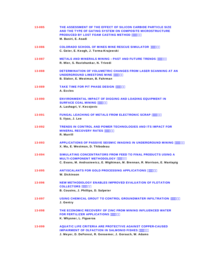| 13-085 | THE ASSESSMENT OF THE EFFECT OF SILICON CARBIDE PARTICLE SIZE<br>AND THE TYPE OF GATING SYSTEM ON COMPOSITE MICROSTRUCTURE<br><b>PRODUCED BY LOST FOAM CASTING METHOD """() %</b><br>M. Basiri, E. Asadi |
|--------|----------------------------------------------------------------------------------------------------------------------------------------------------------------------------------------------------------|
| 13-086 | <b>COLORADO SCHOOL OF MINES MINE RESCUE SIMULATOR """())</b><br>C. Geier, E. Keogh, J. Torma-Krajewski                                                                                                   |
| 13-087 | <b>METALS AND MINERALS MINING - PAST AND FUTURE TRENDS """() -</b><br>R. Mier, S. Ravishankar, N. Trivedi                                                                                                |
| 13-088 | <b>DETERMINATION OF VOLUMETRIC CHANGES FROM LASER SCANNING AT AN</b><br><b>UNDERGROUND LIMESTONE MINE """(*)</b><br>B. Slaker, E. Westman, B. Fahrman                                                    |
| 13-089 | <b>TAKE TIME FOR PIT PHASE DESIGN """(*,</b><br>A. Eccles                                                                                                                                                |
| 13-090 | <b>ENVIRONMENTAL IMPACT OF DIGGING AND LOADING EQUIPMENT IN</b><br><b>SURFACE COAL MINING """(+&amp;</b><br>A. Lashagri, V. Kecojevic                                                                    |
| 13-091 | <b>FUNGAL LEACHING OF METALS FROM ELECTRONIC SCRAP """(++</b><br>S. Ilyas, J. Lee                                                                                                                        |
| 13-092 | <b>TRENDS IN CONTROL AND POWER TECHNOLOGIES AND ITS IMPACT FOR</b><br><b>MINERAL RECOVERY RATES """(, &amp;</b><br>R. Marrill                                                                            |
| 13-093 | APPLICATIONS OF PASSIVE SEISMIC IMAGING IN UNDERGROUND MINING """(, +<br>X. Ma, E. Westman, D. Thibodeau                                                                                                 |
| 13-094 | SIMULATING CONCENTRATORS FROM FEED TO FINAL PRODUCTS USING A<br><b>MULTI-COMPONENT METHODOLOGY """'(-\$</b><br>C. Evans, M. Andrusiewicz, E. Wightman, M. Brennan, R. Morrison, E. Manlapig              |
| 13-095 | <b>ANTISCALANTS FOR GOLD PROCESSING APPLICATIONS """(-)</b><br>W. Dickinson                                                                                                                              |
| 13-096 | <b>NEW METHODOLOGY ENABLES IMPROVED EVALUATION OF FLOTATION</b><br><b>COLLECTORS """) \$\$</b><br>B. Cousins, J. Phillips, D. Salpeter                                                                   |
| 13-097 | USING CHEMICAL GROUT TO CONTROL GROUNDWATER INFILTRATION """) \$(<br>J. Gentry                                                                                                                           |
| 13-098 | THE ECONOMIC RECOVERY OF ZINC FROM MINING INFLUENCED WATER<br><b>FOR FERTILIZER APPLICATIONS """) \$+</b><br>K. Whysner, L. Figueroa                                                                     |
| 13-099 | <b>AQUATIC LIFE CRITERIA ARE PROTECTIVE AGAINST COPPER-CAUSED</b><br><b>IMPAIRMENT OF OLFACTION IN SALMONID FISHES """) %</b><br>J. Meyer, D. DeForest, R. Gensemer, J. Gorsuch, W. Adams                |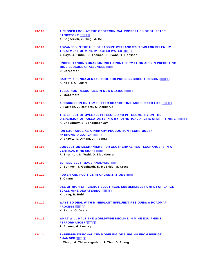| 13-100 | A CLOSER LOOK AT THE GEOTECHNICAL PROPERTIES OF ST. PETER<br><b>SANDSTONE """) %</b><br>A. Bagherieh, Z. Ding, M. Ge                                                       |
|--------|----------------------------------------------------------------------------------------------------------------------------------------------------------------------------|
| 13-101 | ADVANCES IN THE USE OF PASSIVE WETLAND SYSTEMS FOR SELENIUM<br><b>TREATMENT OF MINE-IMPACTED WATER """) &amp;%</b><br>J. Bays, J. Tudini, B. Thomas, D. Evans, T. Harrison |
| 13-102 | UNDERSTANDING URANIUM ROLL-FRONT FORMATION AIDS IN PREDICTING<br><b>MINE CLOSURE CHALLENGES """) &amp;)</b><br>D. Carpenter                                                |
| 13-103 | CART™: A FUNDAMENTAL TOOL FOR PROCESS CIRCUIT DESIGN """) &,<br>A. Noble, G. Luttrell                                                                                      |
| 13-104 | TELLURIUM RESOURCES IN NEW MEXICO """) ' (<br>V. McLemore                                                                                                                  |
| 13-105 | A DISCUSSION ON TBM CUTTER CHANGE TIME AND CUTTER LIFE """) ( &<br>E. Farrokh, J. Rostami, O. Askilsrud                                                                    |
| 13-106 | THE EFFECT OF OVERALL PIT SLOPE AND PIT GEOMETRY ON THE<br><b>DISPERSION OF POLLUTANTS IN A HYPOTHETICAL ARCTIC OPEN-PIT MINE """) (*</b><br>A. Choudhury, S. Bandopadhyay |
| 13-107 | <b>ION EXCHANGE AS A PRIMARY PRODUCTION TECHNIQUE IN</b><br>HYDROMETALLURGY """) ) (<br>D. Shaww, S. Arnold, J. Illescas                                                   |
| 13-108 | <b>CONVECTION MECHANISMS FOR GEOTHERMAL HEAT EXCHANGERS IN A</b><br>VERTICAL MINE SHAFT """) ) -<br>R. Thornton, N. Wahl, D. Blackketter                                   |
| 13-109 | 3D FEED BELT IMAGE ANALYSIS """) *'<br>C. Bennett, J. Gebhardt, D. McBride, M. Cross                                                                                       |
| 13-110 | POWER AND POLITICS IN ORGANIZATIONS """) *+<br>T. Camm                                                                                                                     |
| 13-111 | USE OF HIGH EFFICIENCY ELECTRICAL SUBMERSIBLE PUMPS FOR LARGE<br><b>SCALE MINE DEWATERING """) * -</b><br>K. Lang, B. Buhl                                                 |
| 13-112 | <b>WAYS TO DEAL WITH MINE/PLANT EFFLUENT RESIDUES: A ROADMAP</b><br><b>PROCESS """) +)</b><br>K. Tabra, O. Gaete                                                           |
| 13-113 | WHAT WILL HALT THE WORLDWIDE DECLINE IN MINE EQUIPMENT<br><b>PERFORMANCE? """), \$</b><br>R. Adsero, G. Lumley                                                             |
| 13-114 | <b>THREE-DIMENSIONAL CFD MODELING OF PURGING FROM REFUGE</b><br><b>CHAMBER """)</b> , +<br>L. Wang, M. Thiruvengadam, J. Tien, D. Zheng                                    |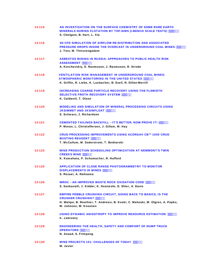| 13-115     | AN INVESTIGATION ON THE SURFACE CHEMISTRY OF SOME RARE EARTH<br>MINERALS DURING FLOTATION BY TOF-SIMS (I-BENCH SCALE TESTS) """) - &<br>S. Chelgani, B. Hart, L. Xia                                                     |
|------------|--------------------------------------------------------------------------------------------------------------------------------------------------------------------------------------------------------------------------|
| 13-116     | <b>3D CFD SIMULATION OF AIRFLOW RE-DISTRIBUTION AND ASSOCIATED</b><br>PRESSURE DROPS INSIDE THE OVERCAST IN UNDERGROUND COAL MINES """) - +<br>J. Tien, M. Thiruvengadam                                                 |
| 13-117     | ASBESTOS MINING IN RUSSIA: APPROACHES TO PUBLIC HEALTH RISK<br><b>ASSESSMENT """* \$%</b><br>A. Korchevskiy, E. Rasmuson, J. Rasmuson, R. Strode                                                                         |
| 13-118     | <b>VENTILATION RISK MANAGEMENT IN UNDERGROUND COAL MINES:</b><br>ATMOSPHERIC MONITORING IN THE UNITED STATES """* \$*<br>K. Griffin, R. Liebe, K. Luxbacher, B. Ezell, R. Dillon-Merrill                                 |
| 13-119     | <b>INCREASING COARSE PARTICLE RECOVERY USING THE FLSMIDTH</b><br><b>SELECTIVE FROTH RECOVERY SYSTEM """* %</b><br>K. Caldwell, T. Olson                                                                                  |
| 13-120     | <b>MODELING AND SIMULATION OF MINERAL PROCESSING CIRCUITS USING</b><br>JKSIMMET AND JKSIMFLOAT """* %<br>S. Schwarz, J. Richardson                                                                                       |
| 13-121     | <b>CEMENTED TAILINGS BACKFILL - IT'S BETTER, NOW PROVE IT! """ &amp; &amp;</b><br>P. Moran, L. Christoffersen, J. Gillow, M. Hay                                                                                         |
| 13-122     | CRUD PROCESSING IMPROVEMENTS USING ACORGA® CB™ 1000 CRUD<br><b>BUSTING REAGENT """* &amp;*</b><br>T. McCallum, M. Soderstrom, T. Bednarski                                                                               |
| 13-123     | <b>MINE PRODUCTION SCHEDULING OPTIMIZATION AT NEWMONT'S TWIN</b><br><b>CREEKS MINE """*' \$</b><br>K. Kawahata, P. Schumacher, R. Hufford                                                                                |
| $13 - 125$ | <b>APPLICATION OF CLOSE RANGE PHOTOGRAMMETRY TO MONITOR</b><br><b>DISPLACEMENTS IN MINES """*" (</b><br>S. Rezaei, A. Rahnama                                                                                            |
| 13-126     | <b>WROC - AN IMPROVED WASTE ROCK OXIDATION CODE """*"</b><br>S. Sunkavalli, J. Kidder, K. Heatwole, D. Shier, A. Davis                                                                                                   |
| $13 - 127$ | <b>EMPIRE PEBBLE CRUSHING CIRCUIT, GOING BACK TO BASICS, IS THE</b><br><b>CRUSHER CRUSHING? """* ( &amp;</b><br>H. Walqui, B. Routhier, T. Andrews, B. Koski, C. Mahoski, M. Olgren, A. Popko,<br>M. Johnson, W. Kosonen |
| 13-128     | USING DYNAMIC ANISOTROPY TO IMPROVE RESOURCE ESTIMATION """* (*<br>K. Zabrusky                                                                                                                                           |
| $13 - 129$ | <b>ENGINEERING THE HEALTH, SAFETY AND COMFORT OF DUMP TRUCK</b><br>OPERATORS """* (-<br>N. Aouad, S. Frimpong                                                                                                            |
| 13-130     | MINE PROJECTS 101: CHALLENGES OF TODAY """") '<br>M. Javier                                                                                                                                                              |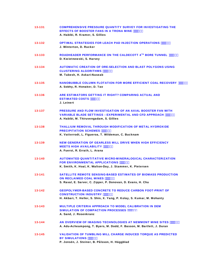| 13-131     | <b>COMPREHENSIVE PRESSURE QUANTITY SURVEY FOR INVESTIGATING THE</b><br><b>EFFECTS OF BOOSTER FANS IN A TRONA MINE """* * \$</b><br>A. Habibi, R. Kramer, S. Gillies                           |
|------------|-----------------------------------------------------------------------------------------------------------------------------------------------------------------------------------------------|
| 13-132     | <b>OPTIMAL STRATEGIES FOR LEACH PAD INJECTION OPERATIONS """* * +</b><br>J. Winterton, D. Rucker                                                                                              |
| 13-133     | ROADHEADER PERFORMANCE ON THE CALDECOTT 4TH BORE TUNNEL """* +&<br>D. Kwietnewski, S. Harvey                                                                                                  |
| 13-134     | <b>AUTOMATIC CREATION OF ORE-SELECTION AND BLAST POLYGONS USING</b><br><b>CLUSTERING ALGORITHMS """*+)</b><br>M. Tabesh, H. Askari-Naseab                                                     |
| 13-135     | <b>NANOBUBBLE COLUMN FLOTATION FOR MORE EFFICIENT COAL RECOVERY """", %</b><br>A. Sobhy, R. Honaker, D. Tao                                                                                   |
| 13-136     | ARE ESTIMATORS GETTING IT RIGHT? COMPARING ACTUAL AND<br><b>ESTIMATED COSTS """*</b><br>J. Leinert                                                                                            |
| 13-137     | <b>PRESSURE AND FLOW INVESTIGATION OF AN AXIAL BOOSTER FAN WITH</b><br><b>VARIABLE BLADE SETTINGS - EXPERIMENTAL AND CFD APPROACH """* - &amp;</b><br>A. Habibi, M. Thiruvengadam, S. Gillies |
| 13-138     | <b>THALLIUM REMOVAL THROUGH MODIFICATION OF METAL HYDROXIDE</b><br><b>PRECIPITATION SCHEMES """* - -</b><br>K. Vatterrodt, L. Figueroa, T. Wildeman, C. Bucknam                               |
| 13-139     | <b>NEW GENERATION OF GEARLESS MILL DRIVE WHEN HIGH EFFICIENCY</b><br><b>MEETS HIGH AVAILABILITY """+\$&amp;</b><br>A. Fuerst, R. Errath, L. Arana                                             |
| 13-140     | <b>AUTOMATED QUANTITATIVE MICRO-MINERALOGICAL CHARACTERIZATION</b><br><b>FOR ENVIRONMENTAL APPLICATIONS """+\$*</b><br>K. Smith, K. Hoal, K. Walton-Day, J. Stammer, K. Pietersen             |
| 13-141     | <b>SATELLITE REMOTE SENSING-BASED ESTIMATES OF BIOMASS PRODUCTION</b><br><b>ON RECLAIMED COAL MINES """+%%</b><br>S. Raval, E. Sarver, C. Zipper, P. Donovan, D. Evans, H. Chu                |
| 13-142     | <b>GEOPOLYMER-BASED CONCRETE TO REDUCE CARBON FOOT-PRINT OF</b><br><b>CONSTRUCTION INDUSTRY """+%+</b><br>H. Akbari, T. Heller, S. Shin, X. Yang, P. Kolay, S. Kumar, M. Mohanty              |
| $13 - 143$ | <b>MULTIPLE CRITERIA APPROACH TO MODEL CALIBRATION IN DEM</b><br>SIMULATION OF COMPACTION PROCESSES """+&&<br>A. Sand, J. Rosenkranz                                                          |
| 13-144     | AN OVERVIEW OF IMAGING TECHNOLOGIES AT NEWMONT MINE SITES """+&*<br>A. Adu-Acheampong, T. Byers, M. Dodd, F. Basson, M. Bartlett, J. Duran                                                    |
| 13-145     | <b>VALIDATION OF TUMBLING MILL CHARGE INDUCED TORQUE AS PREDICTED</b><br><b>BY SIMULATIONS """+&amp;,</b><br>P. Jonsén, J. Steiner, B. Pålsson, H. Häggblad                                   |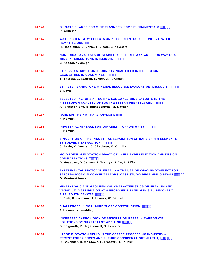| 13-146 | <b>CLIMATE CHANGE FOR MINE PLANNERS: SOME FUNDAMENTALS """+' (</b><br>R. Williams                                                                                                                                  |
|--------|--------------------------------------------------------------------------------------------------------------------------------------------------------------------------------------------------------------------|
| 13-147 | <b>WATER CHEMISTRY EFFECTS ON ZETA POTENTIAL OF CONCENTRATED</b><br><b>HEMATITE ORE """+(\$</b>                                                                                                                    |
|        | H. Haselhuhn, S. Ennis, T. Eisele, S. Kawatra                                                                                                                                                                      |
| 13-148 | <b>NUMERICAL ANALYSES OF STABILITY OF THREE-WAY AND FOUR-WAY COAL</b><br><b>MINE INTERSECTIONS IN ILLINOIS """+(()</b><br>B. Abbasi, Y. Chugh                                                                      |
| 13-149 | <b>STRESS DISTRIBUTION AROUND TYPICAL FIELD INTERSECTION</b><br><b>GEOMETRIES IN COAL MINES """+) %</b><br>S. Bastola, C. Carlton, B. Abbasi, Y. Chugh                                                             |
| 13-150 | ST. PETER SANDSTONE MINERAL RESOURCE EVALUATION, MISSOURI """+) +<br>J. Davis                                                                                                                                      |
| 13-151 | <b>SELECTED FACTORS AFFECTING LONGWALL MINE LAYOUTS IN THE</b><br>PITTSBURGH COALBED OF SOUTHWESTERN PENNSYLVANIA """+*%<br>A. Iannacchione, N. Iannacchione, M. Keener                                            |
| 13-154 | <b>RARE EARTHS NOT RARE ANYMORE """+**</b><br>F. Heivilin                                                                                                                                                          |
| 13-155 | <b>INDUSTRIAL MINERAL SUSTAINABILITY OPPORTUNITY """++\$</b><br>F. Heivilin                                                                                                                                        |
| 13-156 | SIMULATION OF THE INDUSTRIAL SEPARATION OF RARE EARTH ELEMENTS<br><b>BY SOLVENT EXTRACTION """++&amp;</b><br>C. Bazin, V. Ouellet, C. Chapleau, M. Ourriban                                                        |
| 13-157 | <b>MOLYBDENUM FLOTATION PRACTICE - CELL TYPE SELECTION AND DESIGN</b><br><b>CONSIDERATIONS """+. %</b><br>D. Meadows, D. Jensen, F. Traczyk, S. Yu, L. Riffo                                                       |
| 13-158 | <b>EXPERIMENTAL PROTOCOL ENABLING THE USE OF X-RAY PHOTOELECTRON</b><br><b>SPECTROSCOPY IN CONCENTRATORS. CASE STUDY: REGRINDING STAGE """+, -</b><br><b>G. Montes-Atenas</b>                                      |
| 13-159 | <b>MINERALOGIC AND GEOCHEMICAL CHARACTERISTICS OF URANIUM AND</b><br><b>VANADIUM DISTRIBUTION AT A PROPOSED URANIUM IN-SITU RECOVERY</b><br>SITE, SOUTH DAKOTA """+-*<br>S. Dieh, R. Johnson, H. Lowers, W. Benzel |
| 13-160 | <b>CHALLENGES IN COAL MINE SLOPE CONSTRUCTION """, \$\$</b><br>J. Haynes, N. Wedding                                                                                                                               |
| 13-161 | <b>INCREASED CARBON DIOXIDE ABSORPTION RATES IN CARBONATE</b><br><b>SOLUTIONS BY SURFACTANT ADDITION """, \$()</b><br>B. Spigarelli, P. Hagadone II, S. Kawatra                                                    |
| 13-162 | <b>LARGE FLOTATION CELLS IN THE COPPER PROCESSING INDUSTRY -</b><br>RECENT EXPERIENCES AND FUTURE CONSIDERATIONS (PART 1) """"; \$,<br>D. Govender, D. Meadows, F. Traczyk, D. Lelinski                            |